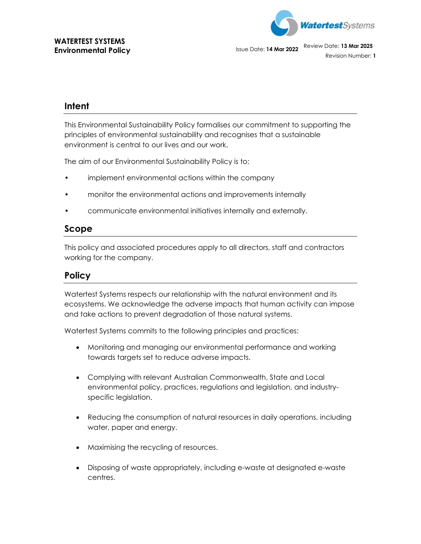

Environmental Policy **Islams** Issue Date: **14 Mar 2022** Review Date: **13 Mar 2025** 

Revision Number: **1**

## **Intent**

This Environmental Sustainability Policy formalises our commitment to supporting the principles of environmental sustainability and recognises that a sustainable environment is central to our lives and our work.

The aim of our Environmental Sustainability Policy is to:

- implement environmental actions within the company
- monitor the environmental actions and improvements internally
- communicate environmental initiatives internally and externally.

## **Scope**

This policy and associated procedures apply to all directors, staff and contractors working for the company.

## **Policy**

Watertest Systems respects our relationship with the natural environment and its ecosystems. We acknowledge the adverse impacts that human activity can impose and take actions to prevent degradation of those natural systems.

Watertest Systems commits to the following principles and practices:

- Monitoring and managing our environmental performance and working towards targets set to reduce adverse impacts.
- Complying with relevant Australian Commonwealth, State and Local environmental policy, practices, regulations and legislation, and industryspecific legislation.
- Reducing the consumption of natural resources in daily operations, including water, paper and energy.
- Maximising the recycling of resources.
- Disposing of waste appropriately, including e-waste at designated e-waste centres.